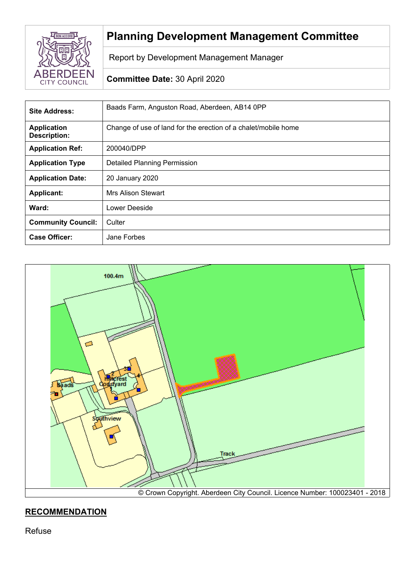

# **Planning Development Management Committee**

Report by Development Management Manager

# **Committee Date:** 30 April 2020

| Site Address:                             | Baads Farm, Anguston Road, Aberdeen, AB14 0PP                  |
|-------------------------------------------|----------------------------------------------------------------|
| <b>Application</b><br><b>Description:</b> | Change of use of land for the erection of a chalet/mobile home |
| <b>Application Ref:</b>                   | 200040/DPP                                                     |
| <b>Application Type</b>                   | <b>Detailed Planning Permission</b>                            |
| <b>Application Date:</b>                  | 20 January 2020                                                |
| <b>Applicant:</b>                         | Mrs Alison Stewart                                             |
| Ward:                                     | Lower Deeside                                                  |
| <b>Community Council:</b>                 | Culter                                                         |
| <b>Case Officer:</b>                      | Jane Forbes                                                    |



# **RECOMMENDATION**

Refuse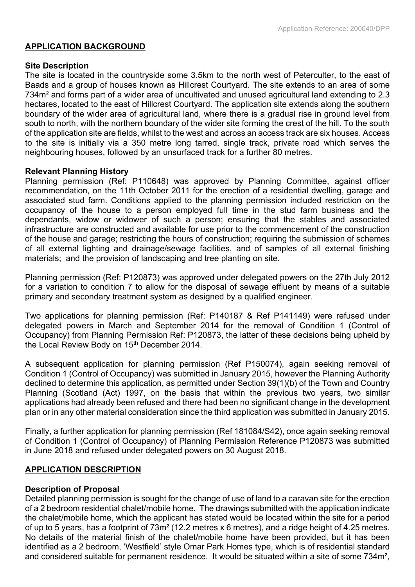### **APPLICATION BACKGROUND**

### **Site Description**

The site is located in the countryside some 3.5km to the north west of Peterculter, to the east of Baads and a group of houses known as Hillcrest Courtyard. The site extends to an area of some 734m² and forms part of a wider area of uncultivated and unused agricultural land extending to 2.3 hectares, located to the east of Hillcrest Courtyard. The application site extends along the southern boundary of the wider area of agricultural land, where there is a gradual rise in ground level from south to north, with the northern boundary of the wider site forming the crest of the hill. To the south of the application site are fields, whilst to the west and across an access track are six houses. Access to the site is initially via a 350 metre long tarred, single track, private road which serves the neighbouring houses, followed by an unsurfaced track for a further 80 metres.

### **Relevant Planning History**

Planning permission (Ref: P110648) was approved by Planning Committee, against officer recommendation, on the 11th October 2011 for the erection of a residential dwelling, garage and associated stud farm. Conditions applied to the planning permission included restriction on the occupancy of the house to a person employed full time in the stud farm business and the dependants, widow or widower of such a person; ensuring that the stables and associated infrastructure are constructed and available for use prior to the commencement of the construction of the house and garage; restricting the hours of construction; requiring the submission of schemes of all external lighting and drainage/sewage facilities, and of samples of all external finishing materials; and the provision of landscaping and tree planting on site.

Planning permission (Ref: P120873) was approved under delegated powers on the 27th July 2012 for a variation to condition 7 to allow for the disposal of sewage effluent by means of a suitable primary and secondary treatment system as designed by a qualified engineer.

Two applications for planning permission (Ref: P140187 & Ref P141149) were refused under delegated powers in March and September 2014 for the removal of Condition 1 (Control of Occupancy) from Planning Permission Ref: P120873, the latter of these decisions being upheld by the Local Review Body on 15<sup>th</sup> December 2014.

A subsequent application for planning permission (Ref P150074), again seeking removal of Condition 1 (Control of Occupancy) was submitted in January 2015, however the Planning Authority declined to determine this application, as permitted under Section 39(1)(b) of the Town and Country Planning (Scotland (Act) 1997, on the basis that within the previous two years, two similar applications had already been refused and there had been no significant change in the development plan or in any other material consideration since the third application was submitted in January 2015.

Finally, a further application for planning permission (Ref 181084/S42), once again seeking removal of Condition 1 (Control of Occupancy) of Planning Permission Reference P120873 was submitted in June 2018 and refused under delegated powers on 30 August 2018.

# **APPLICATION DESCRIPTION**

### **Description of Proposal**

Detailed planning permission is sought for the change of use of land to a caravan site for the erection of a 2 bedroom residential chalet/mobile home. The drawings submitted with the application indicate the chalet/mobile home, which the applicant has stated would be located within the site for a period of up to 5 years, has a footprint of 73m² (12.2 metres x 6 metres), and a ridge height of 4.25 metres. No details of the material finish of the chalet/mobile home have been provided, but it has been identified as a 2 bedroom, 'Westfield' style Omar Park Homes type, which is of residential standard and considered suitable for permanent residence. It would be situated within a site of some 734m²,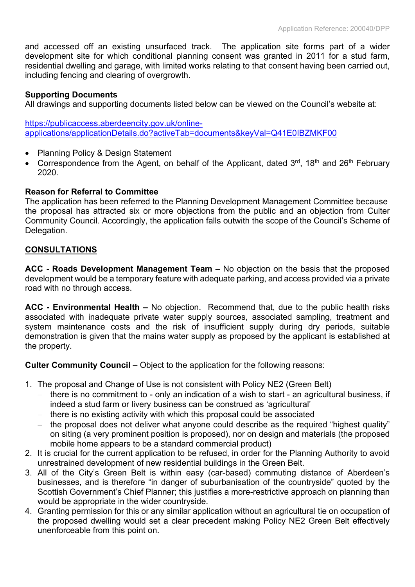and accessed off an existing unsurfaced track. The application site forms part of a wider development site for which conditional planning consent was granted in 2011 for a stud farm, residential dwelling and garage, with limited works relating to that consent having been carried out, including fencing and clearing of overgrowth.

### **Supporting Documents**

All drawings and supporting documents listed below can be viewed on the Council's website at:

[https://publicaccess.aberdeencity.gov.uk/online](https://publicaccess.aberdeencity.gov.uk/online-applications/applicationDetails.do?activeTab=documents&keyVal=Q41E0IBZMKF00)[applications/applicationDetails.do?activeTab=documents&keyVal=Q41E0IBZMKF00](https://publicaccess.aberdeencity.gov.uk/online-applications/applicationDetails.do?activeTab=documents&keyVal=Q41E0IBZMKF00)

- Planning Policy & Design Statement
- Correspondence from the Agent, on behalf of the Applicant, dated 3<sup>rd</sup>, 18<sup>th</sup> and 26<sup>th</sup> February 2020.

### **Reason for Referral to Committee**

The application has been referred to the Planning Development Management Committee because the proposal has attracted six or more objections from the public and an objection from Culter Community Council. Accordingly, the application falls outwith the scope of the Council's Scheme of Delegation.

### **CONSULTATIONS**

**ACC - Roads Development Management Team –** No objection on the basis that the proposed development would be a temporary feature with adequate parking, and access provided via a private road with no through access.

**ACC - Environmental Health –** No objection. Recommend that, due to the public health risks associated with inadequate private water supply sources, associated sampling, treatment and system maintenance costs and the risk of insufficient supply during dry periods, suitable demonstration is given that the mains water supply as proposed by the applicant is established at the property.

**Culter Community Council –** Object to the application for the following reasons:

- 1. The proposal and Change of Use is not consistent with Policy NE2 (Green Belt)
	- there is no commitment to only an indication of a wish to start an agricultural business, if indeed a stud farm or livery business can be construed as 'agricultural'
	- $-$  there is no existing activity with which this proposal could be associated
	- $-$  the proposal does not deliver what anyone could describe as the required "highest quality" on siting (a very prominent position is proposed), nor on design and materials (the proposed mobile home appears to be a standard commercial product)
- 2. It is crucial for the current application to be refused, in order for the Planning Authority to avoid unrestrained development of new residential buildings in the Green Belt.
- 3. All of the City's Green Belt is within easy (car-based) commuting distance of Aberdeen's businesses, and is therefore "in danger of suburbanisation of the countryside" quoted by the Scottish Government's Chief Planner; this justifies a more-restrictive approach on planning than would be appropriate in the wider countryside.
- 4. Granting permission for this or any similar application without an agricultural tie on occupation of the proposed dwelling would set a clear precedent making Policy NE2 Green Belt effectively unenforceable from this point on.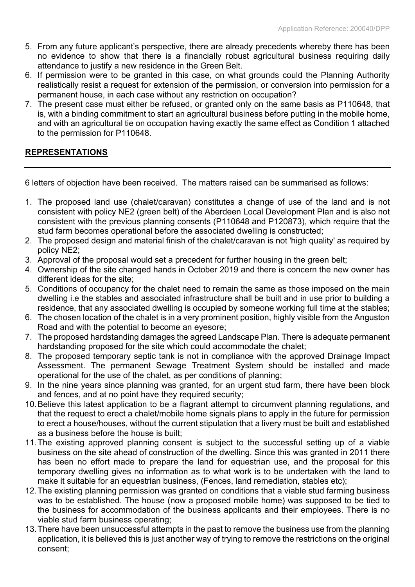- 5. From any future applicant's perspective, there are already precedents whereby there has been no evidence to show that there is a financially robust agricultural business requiring daily attendance to justify a new residence in the Green Belt.
- 6. If permission were to be granted in this case, on what grounds could the Planning Authority realistically resist a request for extension of the permission, or conversion into permission for a permanent house, in each case without any restriction on occupation?
- 7. The present case must either be refused, or granted only on the same basis as P110648, that is, with a binding commitment to start an agricultural business before putting in the mobile home, and with an agricultural tie on occupation having exactly the same effect as Condition 1 attached to the permission for P110648.

# **REPRESENTATIONS**

6 letters of objection have been received. The matters raised can be summarised as follows:

- 1. The proposed land use (chalet/caravan) constitutes a change of use of the land and is not consistent with policy NE2 (green belt) of the Aberdeen Local Development Plan and is also not consistent with the previous planning consents (P110648 and P120873), which require that the stud farm becomes operational before the associated dwelling is constructed;
- 2. The proposed design and material finish of the chalet/caravan is not 'high quality' as required by policy NE2;
- 3. Approval of the proposal would set a precedent for further housing in the green belt;
- 4. Ownership of the site changed hands in October 2019 and there is concern the new owner has different ideas for the site;
- 5. Conditions of occupancy for the chalet need to remain the same as those imposed on the main dwelling i.e the stables and associated infrastructure shall be built and in use prior to building a residence, that any associated dwelling is occupied by someone working full time at the stables;
- 6. The chosen location of the chalet is in a very prominent position, highly visible from the Anguston Road and with the potential to become an eyesore;
- 7. The proposed hardstanding damages the agreed Landscape Plan. There is adequate permanent hardstanding proposed for the site which could accommodate the chalet;
- 8. The proposed temporary septic tank is not in compliance with the approved Drainage Impact Assessment. The permanent Sewage Treatment System should be installed and made operational for the use of the chalet, as per conditions of planning;
- 9. In the nine years since planning was granted, for an urgent stud farm, there have been block and fences, and at no point have they required security;
- 10.Believe this latest application to be a flagrant attempt to circumvent planning regulations, and that the request to erect a chalet/mobile home signals plans to apply in the future for permission to erect a house/houses, without the current stipulation that a livery must be built and established as a business before the house is built;
- 11.The existing approved planning consent is subject to the successful setting up of a viable business on the site ahead of construction of the dwelling. Since this was granted in 2011 there has been no effort made to prepare the land for equestrian use, and the proposal for this temporary dwelling gives no information as to what work is to be undertaken with the land to make it suitable for an equestrian business, (Fences, land remediation, stables etc);
- 12.The existing planning permission was granted on conditions that a viable stud farming business was to be established. The house (now a proposed mobile home) was supposed to be tied to the business for accommodation of the business applicants and their employees. There is no viable stud farm business operating;
- 13.There have been unsuccessful attempts in the past to remove the business use from the planning application, it is believed this is just another way of trying to remove the restrictions on the original consent;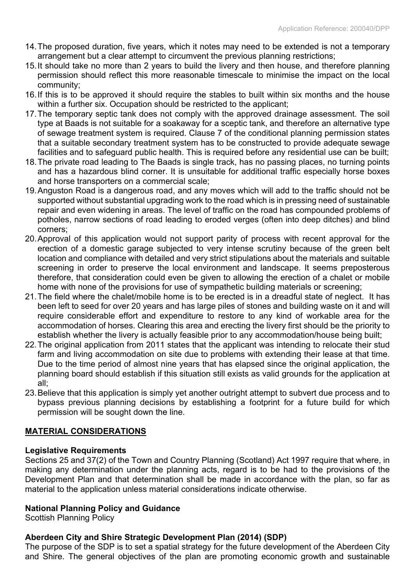- 14.The proposed duration, five years, which it notes may need to be extended is not a temporary arrangement but a clear attempt to circumvent the previous planning restrictions;
- 15.It should take no more than 2 years to build the livery and then house, and therefore planning permission should reflect this more reasonable timescale to minimise the impact on the local community;
- 16.If this is to be approved it should require the stables to built within six months and the house within a further six. Occupation should be restricted to the applicant;
- 17.The temporary septic tank does not comply with the approved drainage assessment. The soil type at Baads is not suitable for a soakaway for a sceptic tank, and therefore an alternative type of sewage treatment system is required. Clause 7 of the conditional planning permission states that a suitable secondary treatment system has to be constructed to provide adequate sewage facilities and to safeguard public health. This is required before any residential use can be built;
- 18.The private road leading to The Baads is single track, has no passing places, no turning points and has a hazardous blind corner. It is unsuitable for additional traffic especially horse boxes and horse transporters on a commercial scale;
- 19.Anguston Road is a dangerous road, and any moves which will add to the traffic should not be supported without substantial upgrading work to the road which is in pressing need of sustainable repair and even widening in areas. The level of traffic on the road has compounded problems of potholes, narrow sections of road leading to eroded verges (often into deep ditches) and blind corners;
- 20.Approval of this application would not support parity of process with recent approval for the erection of a domestic garage subjected to very intense scrutiny because of the green belt location and compliance with detailed and very strict stipulations about the materials and suitable screening in order to preserve the local environment and landscape. It seems preposterous therefore, that consideration could even be given to allowing the erection of a chalet or mobile home with none of the provisions for use of sympathetic building materials or screening;
- 21.The field where the chalet/mobile home is to be erected is in a dreadful state of neglect. It has been left to seed for over 20 years and has large piles of stones and building waste on it and will require considerable effort and expenditure to restore to any kind of workable area for the accommodation of horses. Clearing this area and erecting the livery first should be the priority to establish whether the livery is actually feasible prior to any accommodation/house being built;
- 22.The original application from 2011 states that the applicant was intending to relocate their stud farm and living accommodation on site due to problems with extending their lease at that time. Due to the time period of almost nine years that has elapsed since the original application, the planning board should establish if this situation still exists as valid grounds for the application at all;
- 23.Believe that this application is simply yet another outright attempt to subvert due process and to bypass previous planning decisions by establishing a footprint for a future build for which permission will be sought down the line.

# **MATERIAL CONSIDERATIONS**

# **Legislative Requirements**

Sections 25 and 37(2) of the Town and Country Planning (Scotland) Act 1997 require that where, in making any determination under the planning acts, regard is to be had to the provisions of the Development Plan and that determination shall be made in accordance with the plan, so far as material to the application unless material considerations indicate otherwise.

# **National Planning Policy and Guidance**

Scottish Planning Policy

# **Aberdeen City and Shire Strategic Development Plan (2014) (SDP)**

The purpose of the SDP is to set a spatial strategy for the future development of the Aberdeen City and Shire. The general objectives of the plan are promoting economic growth and sustainable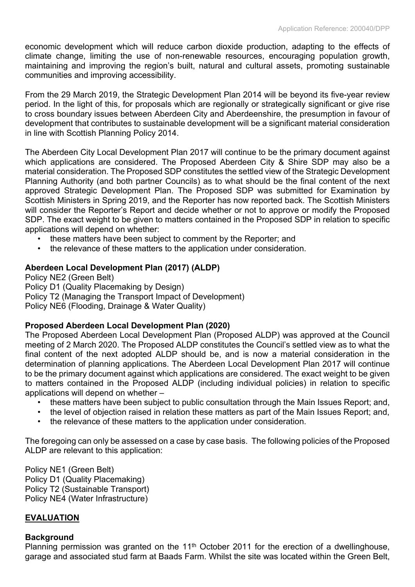economic development which will reduce carbon dioxide production, adapting to the effects of climate change, limiting the use of non-renewable resources, encouraging population growth, maintaining and improving the region's built, natural and cultural assets, promoting sustainable communities and improving accessibility.

From the 29 March 2019, the Strategic Development Plan 2014 will be beyond its five-year review period. In the light of this, for proposals which are regionally or strategically significant or give rise to cross boundary issues between Aberdeen City and Aberdeenshire, the presumption in favour of development that contributes to sustainable development will be a significant material consideration in line with Scottish Planning Policy 2014.

The Aberdeen City Local Development Plan 2017 will continue to be the primary document against which applications are considered. The Proposed Aberdeen City & Shire SDP may also be a material consideration. The Proposed SDP constitutes the settled view of the Strategic Development Planning Authority (and both partner Councils) as to what should be the final content of the next approved Strategic Development Plan. The Proposed SDP was submitted for Examination by Scottish Ministers in Spring 2019, and the Reporter has now reported back. The Scottish Ministers will consider the Reporter's Report and decide whether or not to approve or modify the Proposed SDP. The exact weight to be given to matters contained in the Proposed SDP in relation to specific applications will depend on whether:

- these matters have been subject to comment by the Reporter; and
- the relevance of these matters to the application under consideration.

# **Aberdeen Local Development Plan (2017) (ALDP)**

Policy NE2 (Green Belt) Policy D1 (Quality Placemaking by Design) Policy T2 (Managing the Transport Impact of Development) Policy NE6 (Flooding, Drainage & Water Quality)

# **Proposed Aberdeen Local Development Plan (2020)**

The Proposed Aberdeen Local Development Plan (Proposed ALDP) was approved at the Council meeting of 2 March 2020. The Proposed ALDP constitutes the Council's settled view as to what the final content of the next adopted ALDP should be, and is now a material consideration in the determination of planning applications. The Aberdeen Local Development Plan 2017 will continue to be the primary document against which applications are considered. The exact weight to be given to matters contained in the Proposed ALDP (including individual policies) in relation to specific applications will depend on whether –

- these matters have been subject to public consultation through the Main Issues Report; and,
- the level of objection raised in relation these matters as part of the Main Issues Report; and,
- the relevance of these matters to the application under consideration.

The foregoing can only be assessed on a case by case basis. The following policies of the Proposed ALDP are relevant to this application:

Policy NE1 (Green Belt) Policy D1 (Quality Placemaking) Policy T2 (Sustainable Transport) Policy NE4 (Water Infrastructure)

# **EVALUATION**

# **Background**

Planning permission was granted on the  $11<sup>th</sup>$  October 2011 for the erection of a dwellinghouse, garage and associated stud farm at Baads Farm. Whilst the site was located within the Green Belt,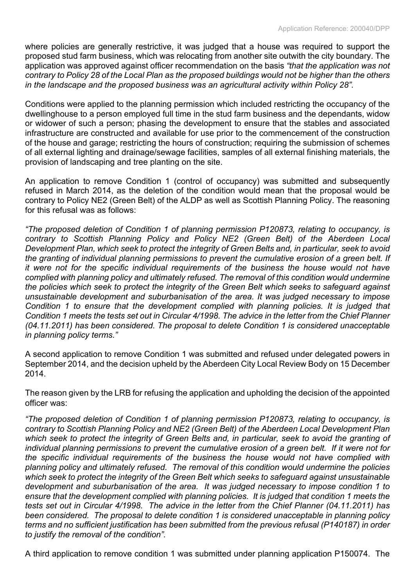where policies are generally restrictive, it was judged that a house was required to support the proposed stud farm business, which was relocating from another site outwith the city boundary. The application was approved against officer recommendation on the basis *"that the application was not* contrary to Policy 28 of the Local Plan as the proposed buildings would not be higher than the others *in the landscape and the proposed business was an agricultural activity within Policy 28".*

Conditions were applied to the planning permission which included restricting the occupancy of the dwellinghouse to a person employed full time in the stud farm business and the dependants, widow or widower of such a person; phasing the development to ensure that the stables and associated infrastructure are constructed and available for use prior to the commencement of the construction of the house and garage; restricting the hours of construction; requiring the submission of schemes of all external lighting and drainage/sewage facilities, samples of all external finishing materials, the provision of landscaping and tree planting on the site.

An application to remove Condition 1 (control of occupancy) was submitted and subsequently refused in March 2014, as the deletion of the condition would mean that the proposal would be contrary to Policy NE2 (Green Belt) of the ALDP as well as Scottish Planning Policy. The reasoning for this refusal was as follows:

*"The proposed deletion of Condition 1 of planning permission P120873, relating to occupancy, is contrary to Scottish Planning Policy and Policy NE2 (Green Belt) of the Aberdeen Local Development Plan, which seek to protect the integrity of Green Belts and, in particular, seek to avoid the granting of individual planning permissions to prevent the cumulative erosion of a green belt. If it were not for the specific individual requirements of the business the house would not have complied with planning policy and ultimately refused. The removal of this condition would undermine the policies which seek to protect the integrity of the Green Belt which seeks to safeguard against unsustainable development and suburbanisation of the area. It was judged necessary to impose Condition 1 to ensure that the development complied with planning policies. It is judged that* Condition 1 meets the tests set out in Circular 4/1998. The advice in the letter from the Chief Planner *(04.11.2011) has been considered. The proposal to delete Condition 1 is considered unacceptable in planning policy terms."*

A second application to remove Condition 1 was submitted and refused under delegated powers in September 2014, and the decision upheld by the Aberdeen City Local Review Body on 15 December 2014.

The reason given by the LRB for refusing the application and upholding the decision of the appointed officer was:

*"The proposed deletion of Condition 1 of planning permission P120873, relating to occupancy, is contrary to Scottish Planning Policy and NE2 (Green Belt) of the Aberdeen Local Development Plan* which seek to protect the integrity of Green Belts and, in particular, seek to avoid the granting of *individual planning permissions to prevent the cumulative erosion of a green belt. If it were not for the specific individual requirements of the business the house would not have complied with planning policy and ultimately refused. The removal of this condition would undermine the policies which seek to protect the integrity of the Green Belt which seeks to safeguard against unsustainable development and suburbanisation of the area. It was judged necessary to impose condition 1 to ensure that the development complied with planning policies. It is judged that condition 1 meets the tests set out in Circular 4/1998. The advice in the letter from the Chief Planner (04.11.2011) has been considered. The proposal to delete condition 1 is considered unacceptable in planning policy terms and no sufficient justification has been submitted from the previous refusal (P140187) in order to justify the removal of the condition".*

A third application to remove condition 1 was submitted under planning application P150074. The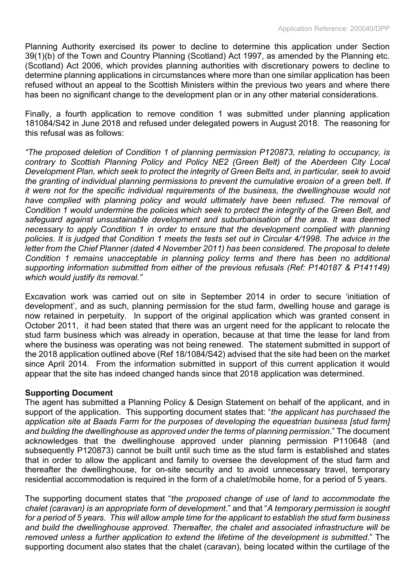Planning Authority exercised its power to decline to determine this application under Section 39(1)(b) of the Town and Country Planning (Scotland) Act 1997, as amended by the Planning etc. (Scotland) Act 2006, which provides planning authorities with discretionary powers to decline to determine planning applications in circumstances where more than one similar application has been refused without an appeal to the Scottish Ministers within the previous two years and where there has been no significant change to the development plan or in any other material considerations.

Finally, a fourth application to remove condition 1 was submitted under planning application 181084/S42 in June 2018 and refused under delegated powers in August 2018. The reasoning for this refusal was as follows:

*"The proposed deletion of Condition 1 of planning permission P120873, relating to occupancy, is contrary to Scottish Planning Policy and Policy NE2 (Green Belt) of the Aberdeen City Local Development Plan, which seek to protect the integrity of Green Belts and, in particular, seek to avoid the granting of individual planning permissions to prevent the cumulative erosion of a green belt. If it were not for the specific individual requirements of the business, the dwellinghouse would not have complied with planning policy and would ultimately have been refused. The removal of Condition 1 would undermine the policies which seek to protect the integrity of the Green Belt, and safeguard against unsustainable development and suburbanisation of the area. It was deemed necessary to apply Condition 1 in order to ensure that the development complied with planning* policies. It is judged that Condition 1 meets the tests set out in Circular 4/1998. The advice in the *letter from the Chief Planner (dated 4 November 2011) has been considered. The proposal to delete Condition 1 remains unacceptable in planning policy terms and there has been no additional supporting information submitted from either of the previous refusals (Ref: P140187 & P141149) which would justify its removal."*

Excavation work was carried out on site in September 2014 in order to secure 'initiation of development', and as such, planning permission for the stud farm, dwelling house and garage is now retained in perpetuity. In support of the original application which was granted consent in October 2011, it had been stated that there was an urgent need for the applicant to relocate the stud farm business which was already in operation, because at that time the lease for land from where the business was operating was not being renewed. The statement submitted in support of the 2018 application outlined above (Ref 18/1084/S42) advised that the site had been on the market since April 2014. From the information submitted in support of this current application it would appear that the site has indeed changed hands since that 2018 application was determined.

### **Supporting Document**

The agent has submitted a Planning Policy & Design Statement on behalf of the applicant, and in support of the application. This supporting document states that: "*the applicant has purchased the application site at Baads Farm for the purposes of developing the equestrian business [stud farm] and building the dwellinghouse as approved under the terms of planning permission*." The document acknowledges that the dwellinghouse approved under planning permission P110648 (and subsequently P120873) cannot be built until such time as the stud farm is established and states that in order to allow the applicant and family to oversee the development of the stud farm and thereafter the dwellinghouse, for on-site security and to avoid unnecessary travel, temporary residential accommodation is required in the form of a chalet/mobile home, for a period of 5 years.

The supporting document states that "*the proposed change of use of land to accommodate the chalet (caravan) is an appropriate form of development*." and that "*A temporary permission is sought* for a period of 5 years. This will allow ample time for the applicant to establish the stud farm business *and build the dwellinghouse approved. Thereafter, the chalet and associated infrastructure will be removed unless a further application to extend the lifetime of the development is submitted*." The supporting document also states that the chalet (caravan), being located within the curtilage of the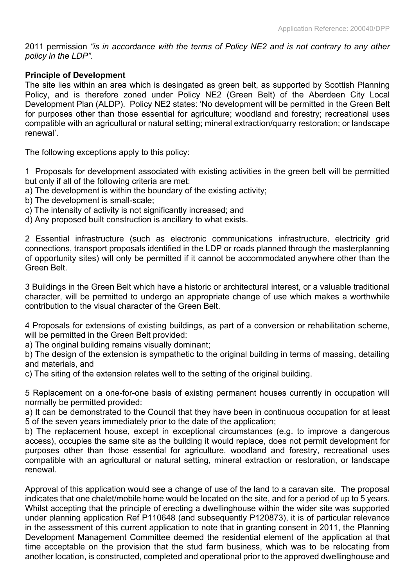2011 permission *"is in accordance with the terms of Policy NE2 and is not contrary to any other policy in the LDP"*.

### **Principle of Development**

The site lies within an area which is desingated as green belt, as supported by Scottish Planning Policy, and is therefore zoned under Policy NE2 (Green Belt) of the Aberdeen City Local Development Plan (ALDP). Policy NE2 states: 'No development will be permitted in the Green Belt for purposes other than those essential for agriculture; woodland and forestry; recreational uses compatible with an agricultural or natural setting; mineral extraction/quarry restoration; or landscape renewal'.

The following exceptions apply to this policy:

1 Proposals for development associated with existing activities in the green belt will be permitted but only if all of the following criteria are met:

- a) The development is within the boundary of the existing activity;
- b) The development is small-scale;
- c) The intensity of activity is not significantly increased; and
- d) Any proposed built construction is ancillary to what exists.

2 Essential infrastructure (such as electronic communications infrastructure, electricity grid connections, transport proposals identified in the LDP or roads planned through the masterplanning of opportunity sites) will only be permitted if it cannot be accommodated anywhere other than the Green Belt.

3 Buildings in the Green Belt which have a historic or architectural interest, or a valuable traditional character, will be permitted to undergo an appropriate change of use which makes a worthwhile contribution to the visual character of the Green Belt.

4 Proposals for extensions of existing buildings, as part of a conversion or rehabilitation scheme, will be permitted in the Green Belt provided:

a) The original building remains visually dominant;

b) The design of the extension is sympathetic to the original building in terms of massing, detailing and materials, and

c) The siting of the extension relates well to the setting of the original building.

5 Replacement on a one-for-one basis of existing permanent houses currently in occupation will normally be permitted provided:

a) It can be demonstrated to the Council that they have been in continuous occupation for at least 5 of the seven years immediately prior to the date of the application;

b) The replacement house, except in exceptional circumstances (e.g. to improve a dangerous access), occupies the same site as the building it would replace, does not permit development for purposes other than those essential for agriculture, woodland and forestry, recreational uses compatible with an agricultural or natural setting, mineral extraction or restoration, or landscape renewal.

Approval of this application would see a change of use of the land to a caravan site. The proposal indicates that one chalet/mobile home would be located on the site, and for a period of up to 5 years. Whilst accepting that the principle of erecting a dwellinghouse within the wider site was supported under planning application Ref P110648 (and subsequently P120873), it is of particular relevance in the assessment of this current application to note that in granting consent in 2011, the Planning Development Management Committee deemed the residential element of the application at that time acceptable on the provision that the stud farm business, which was to be relocating from another location, is constructed, completed and operational prior to the approved dwellinghouse and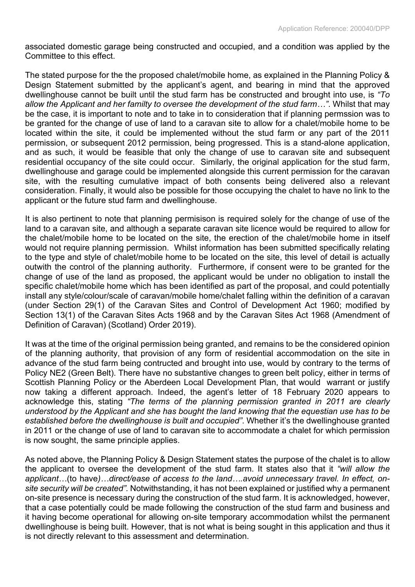associated domestic garage being constructed and occupied, and a condition was applied by the Committee to this effect.

The stated purpose for the the proposed chalet/mobile home, as explained in the Planning Policy & Design Statement submitted by the applicant's agent, and bearing in mind that the approved dwellinghouse cannot be built until the stud farm has be constructed and brought into use, is *"To allow the Applicant and her familty to oversee the development of the stud farm…"*. Whilst that may be the case, it is important to note and to take in to consideration that if planning permssion was to be granted for the change of use of land to a caravan site to allow for a chalet/mobile home to be located within the site, it could be implemented without the stud farm or any part of the 2011 permission, or subsequent 2012 permission, being progressed. This is a stand-alone application, and as such, it would be feasible that only the change of use to caravan site and subsequent residential occupancy of the site could occur. Similarly, the original application for the stud farm, dwellinghouse and garage could be implemented alongside this current permission for the caravan site, with the resulting cumulative impact of both consents being delivered also a relevant consideration. Finally, it would also be possible for those occupying the chalet to have no link to the applicant or the future stud farm and dwellinghouse.

It is also pertinent to note that planning permisison is required solely for the change of use of the land to a caravan site, and although a separate caravan site licence would be required to allow for the chalet/mobile home to be located on the site, the erection of the chalet/mobile home in itself would not require planning permission. Whilst information has been submitted specifically relating to the type and style of chalet/mobile home to be located on the site, this level of detail is actually outwith the control of the planning authority. Furthermore, if consent were to be granted for the change of use of the land as proposed, the applicant would be under no obligation to install the specific chalet/mobile home which has been identified as part of the proposal, and could potentially install any style/colour/scale of caravan/mobile home/chalet falling within the definition of a caravan (under Section 29(1) of the Caravan Sites and Control of Development Act 1960; modified by Section 13(1) of the Caravan Sites Acts 1968 and by the Caravan Sites Act 1968 (Amendment of Definition of Caravan) (Scotland) Order 2019).

It was at the time of the original permission being granted, and remains to be the considered opinion of the planning authority, that provision of any form of residential accommodation on the site in advance of the stud farm being contructed and brought into use, would by contrary to the terms of Policy NE2 (Green Belt). There have no substantive changes to green belt policy, either in terms of Scottish Planning Policy or the Aberdeen Local Development Plan, that would warrant or justify now taking a different approach. Indeed, the agent's letter of 18 February 2020 appears to acknowledge this, stating *"The terms of the planning permission granted in 2011 are clearly understood by the Applicant and she has bought the land knowing that the equestian use has to be established before the dwellinghouse is built and occupied"*. Whether it's the dwellinghouse granted in 2011 or the change of use of land to caravan site to accommodate a chalet for which permission is now sought, the same principle applies.

As noted above, the Planning Policy & Design Statement states the purpose of the chalet is to allow the applicant to oversee the development of the stud farm. It states also that it *"will allow the applicant…*(to have*)…direct/ease of access to the land….avoid unnecessary travel. In effect, onsite security will be created".* Notwithstanding, it has not been explained or justified why a permanent on-site presence is necessary during the construction of the stud farm. It is acknowledged, however, that a case potentially could be made following the construction of the stud farm and business and it having become operational for allowing on-site temporary accommodation whilst the permanent dwellinghouse is being built. However, that is not what is being sought in this application and thus it is not directly relevant to this assessment and determination.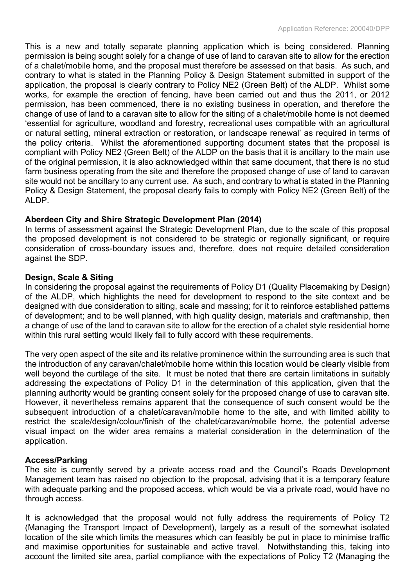This is a new and totally separate planning application which is being considered. Planning permission is being sought solely for a change of use of land to caravan site to allow for the erection of a chalet/mobile home, and the proposal must therefore be assessed on that basis. As such, and contrary to what is stated in the Planning Policy & Design Statement submitted in support of the application, the proposal is clearly contrary to Policy NE2 (Green Belt) of the ALDP. Whilst some works, for example the erection of fencing, have been carried out and thus the 2011, or 2012 permission, has been commenced, there is no existing business in operation, and therefore the change of use of land to a caravan site to allow for the siting of a chalet/mobile home is not deemed 'essential for agriculture, woodland and forestry, recreational uses compatible with an agricultural or natural setting, mineral extraction or restoration, or landscape renewal' as required in terms of the policy criteria. Whilst the aforementioned supporting document states that the proposal is compliant with Policy NE2 (Green Belt) of the ALDP on the basis that it is ancillary to the main use of the original permission, it is also acknowledged within that same document, that there is no stud farm business operating from the site and therefore the proposed change of use of land to caravan site would not be ancillary to any current use. As such, and contrary to what is stated in the Planning Policy & Design Statement, the proposal clearly fails to comply with Policy NE2 (Green Belt) of the ALDP.

# **Aberdeen City and Shire Strategic Development Plan (2014)**

In terms of assessment against the Strategic Development Plan, due to the scale of this proposal the proposed development is not considered to be strategic or regionally significant, or require consideration of cross-boundary issues and, therefore, does not require detailed consideration against the SDP.

# **Design, Scale & Siting**

In considering the proposal against the requirements of Policy D1 (Quality Placemaking by Design) of the ALDP, which highlights the need for development to respond to the site context and be designed with due consideration to siting, scale and massing; for it to reinforce established patterns of development; and to be well planned, with high quality design, materials and craftmanship, then a change of use of the land to caravan site to allow for the erection of a chalet style residential home within this rural setting would likely fail to fully accord with these requirements.

The very open aspect of the site and its relative prominence within the surrounding area is such that the introduction of any caravan/chalet/mobile home within this location would be clearly visible from well beyond the curtilage of the site. It must be noted that there are certain limitations in suitably addressing the expectations of Policy D1 in the determination of this application, given that the planning authority would be granting consent solely for the proposed change of use to caravan site. However, it nevertheless remains apparent that the consequence of such consent would be the subsequent introduction of a chalet/caravan/mobile home to the site, and with limited ability to restrict the scale/design/colour/finish of the chalet/caravan/mobile home, the potential adverse visual impact on the wider area remains a material consideration in the determination of the application.

# **Access/Parking**

The site is currently served by a private access road and the Council's Roads Development Management team has raised no objection to the proposal, advising that it is a temporary feature with adequate parking and the proposed access, which would be via a private road, would have no through access.

It is acknowledged that the proposal would not fully address the requirements of Policy T2 (Managing the Transport Impact of Development), largely as a result of the somewhat isolated location of the site which limits the measures which can feasibly be put in place to minimise traffic and maximise opportunities for sustainable and active travel. Notwithstanding this, taking into account the limited site area, partial compliance with the expectations of Policy T2 (Managing the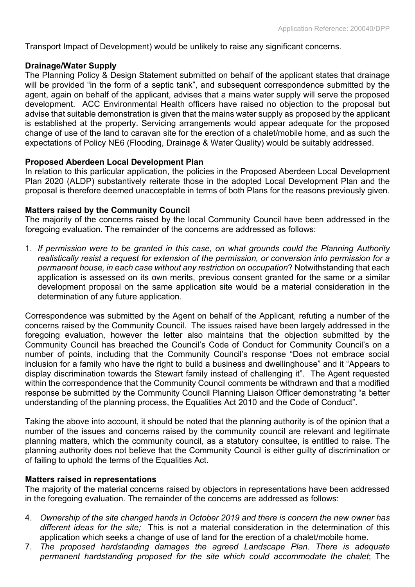Transport Impact of Development) would be unlikely to raise any significant concerns.

#### **Drainage/Water Supply**

The Planning Policy & Design Statement submitted on behalf of the applicant states that drainage will be provided "in the form of a septic tank", and subsequent correspondence submitted by the agent, again on behalf of the applicant, advises that a mains water supply will serve the proposed development. ACC Environmental Health officers have raised no objection to the proposal but advise that suitable demonstration is given that the mains water supply as proposed by the applicant is established at the property. Servicing arrangements would appear adequate for the proposed change of use of the land to caravan site for the erection of a chalet/mobile home, and as such the expectations of Policy NE6 (Flooding, Drainage & Water Quality) would be suitably addressed.

#### **Proposed Aberdeen Local Development Plan**

In relation to this particular application, the policies in the Proposed Aberdeen Local Development Plan 2020 (ALDP) substantively reiterate those in the adopted Local Development Plan and the proposal is therefore deemed unacceptable in terms of both Plans for the reasons previously given.

#### **Matters raised by the Community Council**

The majority of the concerns raised by the local Community Council have been addressed in the foregoing evaluation. The remainder of the concerns are addressed as follows:

1. *If permission were to be granted in this case, on what grounds could the Planning Authority realistically resist a request for extension of the permission, or conversion into permission for a permanent house, in each case without any restriction on occupation*? Notwithstanding that each application is assessed on its own merits, previous consent granted for the same or a similar development proposal on the same application site would be a material consideration in the determination of any future application.

Correspondence was submitted by the Agent on behalf of the Applicant, refuting a number of the concerns raised by the Community Council. The issues raised have been largely addressed in the foregoing evaluation, however the letter also maintains that the objection submitted by the Community Council has breached the Council's Code of Conduct for Community Council's on a number of points, including that the Community Council's response "Does not embrace social inclusion for a family who have the right to build a business and dwellinghouse" and it "Appears to display discrimination towards the Stewart family instead of challenging it". The Agent requested within the correspondence that the Community Council comments be withdrawn and that a modified response be submitted by the Community Council Planning Liaison Officer demonstrating "a better understanding of the planning process, the Equalities Act 2010 and the Code of Conduct".

Taking the above into account, it should be noted that the planning authority is of the opinion that a number of the issues and concerns raised by the community council are relevant and legitimate planning matters, which the community council, as a statutory consultee, is entitled to raise. The planning authority does not believe that the Community Council is either guilty of discrimination or of failing to uphold the terms of the Equalities Act.

#### **Matters raised in representations**

The majority of the material concerns raised by objectors in representations have been addressed in the foregoing evaluation. The remainder of the concerns are addressed as follows:

- 4. *Ownership of the site changed hands in October 2019 and there is concern the new owner has different ideas for the site;* This is not a material consideration in the determination of this application which seeks a change of use of land for the erection of a chalet/mobile home.
- 7. *The proposed hardstanding damages the agreed Landscape Plan. There is adequate permanent hardstanding proposed for the site which could accommodate the chalet*; The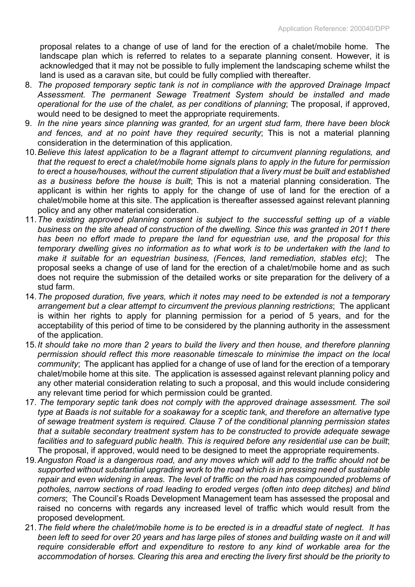proposal relates to a change of use of land for the erection of a chalet/mobile home. The landscape plan which is referred to relates to a separate planning consent. However, it is acknowledged that it may not be possible to fully implement the landscaping scheme whilst the land is used as a caravan site, but could be fully complied with thereafter.

- 8. *The proposed temporary septic tank is not in compliance with the approved Drainage Impact Assessment. The permanent Sewage Treatment System should be installed and made operational for the use of the chalet, as per conditions of planning*; The proposal, if approved, would need to be designed to meet the appropriate requirements.
- 9. *In the nine years since planning was granted, for an urgent stud farm, there have been block and fences, and at no point have they required security*; This is not a material planning consideration in the determination of this application.
- 10.*Believe this latest application to be a flagrant attempt to circumvent planning regulations, and that the request to erect a chalet/mobile home signals plans to apply in the future for permission to erect a house/houses, without the current stipulation that a livery must be built and established as a business before the house is built*; This is not a material planning consideration. The applicant is within her rights to apply for the change of use of land for the erection of a chalet/mobile home at this site. The application is thereafter assessed against relevant planning policy and any other material consideration.
- 11.*The existing approved planning consent is subject to the successful setting up of a viable business on the site ahead of construction of the dwelling. Since this was granted in 2011 there has been no effort made to prepare the land for equestrian use, and the proposal for this temporary dwelling gives no information as to what work is to be undertaken with the land to make it suitable for an equestrian business, (Fences, land remediation, stables etc)*; The proposal seeks a change of use of land for the erection of a chalet/mobile home and as such does not require the submission of the detailed works or site preparation for the delivery of a stud farm.
- 14.*The proposed duration, five years, which it notes may need to be extended is not a temporary arrangement but a clear attempt to circumvent the previous planning restrictions*; The applicant is within her rights to apply for planning permission for a period of 5 years, and for the acceptability of this period of time to be considered by the planning authority in the assessment of the application.
- 15.*It should take no more than 2 years to build the livery and then house, and therefore planning permission should reflect this more reasonable timescale to minimise the impact on the local community*; The applicant has applied for a change of use of land for the erection of a temporary chalet/mobile home at this site. The application is assessed against relevant planning policy and any other material consideration relating to such a proposal, and this would include considering any relevant time period for which permission could be granted.
- 17. *The temporary septic tank does not comply with the approved drainage assessment. The soil type at Baads is not suitable for a soakaway for a sceptic tank, and therefore an alternative type of sewage treatment system is required. Clause 7 of the conditional planning permission states that a suitable secondary treatment system has to be constructed to provide adequate sewage facilities and to safeguard public health. This is required before any residential use can be built*; The proposal, if approved, would need to be designed to meet the appropriate requirements.
- 19.*Anguston Road is a dangerous road, and any moves which will add to the traffic should not be supported without substantial upgrading work to the road which is in pressing need of sustainable repair and even widening in areas. The level of traffic on the road has compounded problems of potholes, narrow sections of road leading to eroded verges (often into deep ditches) and blind corners*; The Council's Roads Development Management team has assessed the proposal and raised no concerns with regards any increased level of traffic which would result from the proposed development.
- 21. The field where the chalet/mobile home is to be erected is in a dreadful state of neglect. It has been left to seed for over 20 years and has large piles of stones and building waste on it and will *require considerable effort and expenditure to restore to any kind of workable area for the accommodation of horses. Clearing this area and erecting the livery first should be the priority to*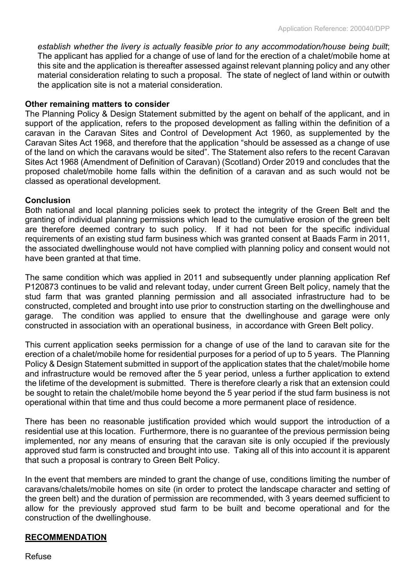*establish whether the livery is actually feasible prior to any accommodation/house being built*; The applicant has applied for a change of use of land for the erection of a chalet/mobile home at this site and the application is thereafter assessed against relevant planning policy and any other material consideration relating to such a proposal. The state of neglect of land within or outwith the application site is not a material consideration.

### **Other remaining matters to consider**

The Planning Policy & Design Statement submitted by the agent on behalf of the applicant, and in support of the application, refers to the proposed development as falling within the definition of a caravan in the Caravan Sites and Control of Development Act 1960, as supplemented by the Caravan Sites Act 1968, and therefore that the application "should be assessed as a change of use of the land on which the caravans would be sited". The Statement also refers to the recent Caravan Sites Act 1968 (Amendment of Definition of Caravan) (Scotland) Order 2019 and concludes that the proposed chalet/mobile home falls within the definition of a caravan and as such would not be classed as operational development.

### **Conclusion**

Both national and local planning policies seek to protect the integrity of the Green Belt and the granting of individual planning permissions which lead to the cumulative erosion of the green belt are therefore deemed contrary to such policy. If it had not been for the specific individual requirements of an existing stud farm business which was granted consent at Baads Farm in 2011, the associated dwellinghouse would not have complied with planning policy and consent would not have been granted at that time.

The same condition which was applied in 2011 and subsequently under planning application Ref P120873 continues to be valid and relevant today, under current Green Belt policy, namely that the stud farm that was granted planning permission and all associated infrastructure had to be constructed, completed and brought into use prior to construction starting on the dwellinghouse and garage. The condition was applied to ensure that the dwellinghouse and garage were only constructed in association with an operational business, in accordance with Green Belt policy.

This current application seeks permission for a change of use of the land to caravan site for the erection of a chalet/mobile home for residential purposes for a period of up to 5 years. The Planning Policy & Design Statement submitted in support of the application states that the chalet/mobile home and infrastructure would be removed after the 5 year period, unless a further application to extend the lifetime of the development is submitted. There is therefore clearly a risk that an extension could be sought to retain the chalet/mobile home beyond the 5 year period if the stud farm business is not operational within that time and thus could become a more permanent place of residence.

There has been no reasonable justification provided which would support the introduction of a residential use at this location. Furthermore, there is no guarantee of the previous permission being implemented, nor any means of ensuring that the caravan site is only occupied if the previously approved stud farm is constructed and brought into use. Taking all of this into account it is apparent that such a proposal is contrary to Green Belt Policy.

In the event that members are minded to grant the change of use, conditions limiting the number of caravans/chalets/mobile homes on site (in order to protect the landscape character and setting of the green belt) and the duration of permission are recommended, with 3 years deemed sufficient to allow for the previously approved stud farm to be built and become operational and for the construction of the dwellinghouse.

# **RECOMMENDATION**

Refuse